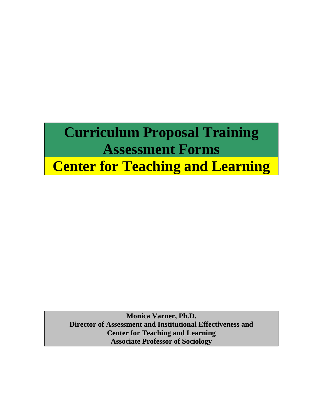# **Curriculum Proposal Training Assessment Forms Center for Teaching and Learning**

**Monica Varner, Ph.D. Director of Assessment and Institutional Effectiveness and Center for Teaching and Learning Associate Professor of Sociology**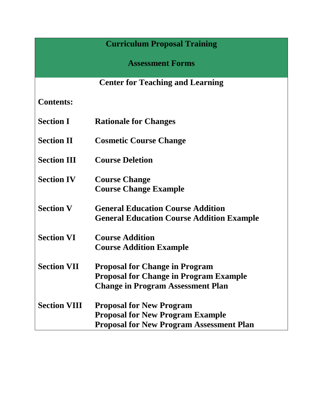# **Curriculum Proposal Training**

**Assessment Forms**

# **Center for Teaching and Learning**

**Contents:**

- **Section I Rationale for Changes**
- **Section II Cosmetic Course Change**
- **Section III Course Deletion**

**Section IV Course Change Course Change Example**

- **Section V General Education Course Addition General Education Course Addition Example**
- **Section VI Course Addition Course Addition Example**
- **Section VII Proposal for Change in Program Proposal for Change in Program Example Change in Program Assessment Plan**
- **Section VIII Proposal for New Program Proposal for New Program Example Proposal for New Program Assessment Plan**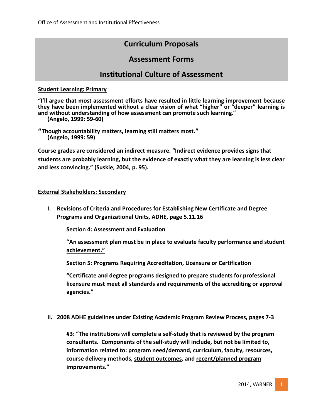# **Curriculum Proposals**

# **Assessment Forms**

# **Institutional Culture of Assessment**

# **Student Learning: Primary**

**"I'll argue that most assessment efforts have resulted in little learning improvement because they have been implemented without a clear vision of what "higher" or "deeper" learning is and without understanding of how assessment can promote such learning."**

**(Angelo, 1999: 59-60)**

**"Though accountability matters, learning still matters most." (Angelo, 1999: 59)** 

**Course grades are considered an indirect measure. "Indirect evidence provides signs that students are probably learning, but the evidence of exactly what they are learning is less clear and less convincing." (Suskie, 2004, p. 95).**

# **External Stakeholders: Secondary**

**I. Revisions of Criteria and Procedures for Establishing New Certificate and Degree Programs and Organizational Units, ADHE, page 5.11.16**

**Section 4: Assessment and Evaluation**

**"An assessment plan must be in place to evaluate faculty performance and student achievement."**

**Section 5: Programs Requiring Accreditation, Licensure or Certification**

**"Certificate and degree programs designed to prepare students for professional licensure must meet all standards and requirements of the accrediting or approval agencies."**

# **II. 2008 ADHE guidelines under Existing Academic Program Review Process, pages 7-3**

**#3: "The institutions will complete a self-study that is reviewed by the program consultants. Components of the self-study will include, but not be limited to, information related to: program need/demand, curriculum, faculty, resources, course delivery methods, student outcomes, and recent/planned program improvements."**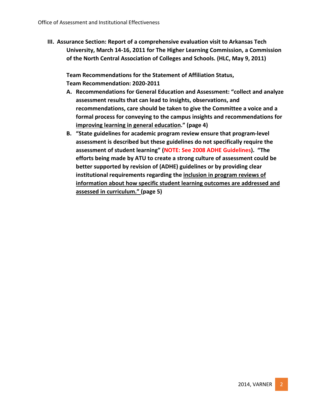**III. Assurance Section: Report of a comprehensive evaluation visit to Arkansas Tech University, March 14-16, 2011 for The Higher Learning Commission, a Commission of the North Central Association of Colleges and Schools. (HLC, May 9, 2011)**

**Team Recommendations for the Statement of Affiliation Status, Team Recommendation: 2020-2011**

- **A. Recommendations for General Education and Assessment: "collect and analyze assessment results that can lead to insights, observations, and recommendations, care should be taken to give the Committee a voice and a formal process for conveying to the campus insights and recommendations for improving learning in general education." (page 4)**
- **B. "State guidelines for academic program review ensure that program-level assessment is described but these guidelines do not specifically require the assessment of student learning" (NOTE: See 2008 ADHE Guidelines). "The efforts being made by ATU to create a strong culture of assessment could be better supported by revision of (ADHE) guidelines or by providing clear institutional requirements regarding the inclusion in program reviews of information about how specific student learning outcomes are addressed and assessed in curriculum." (page 5)**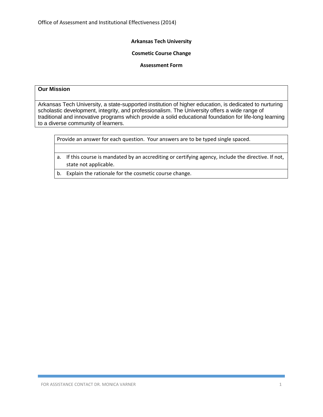#### **Cosmetic Course Change**

#### **Assessment Form**

# **Our Mission**

Arkansas Tech University, a state-supported institution of higher education, is dedicated to nurturing scholastic development, integrity, and professionalism. The University offers a wide range of traditional and innovative programs which provide a solid educational foundation for life-long learning to a diverse community of learners.

- a. If this course is mandated by an accrediting or certifying agency, include the directive. If not, state not applicable.
- b. Explain the rationale for the cosmetic course change.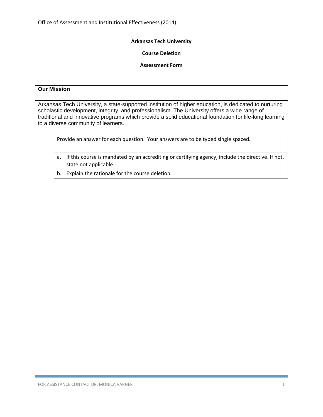### **Course Deletion**

#### **Assessment Form**

#### **Our Mission**

Arkansas Tech University, a state-supported institution of higher education, is dedicated to nurturing scholastic development, integrity, and professionalism. The University offers a wide range of traditional and innovative programs which provide a solid educational foundation for life-long learning to a diverse community of learners.

- a. If this course is mandated by an accrediting or certifying agency, include the directive. If not, state not applicable.
- b. Explain the rationale for the course deletion.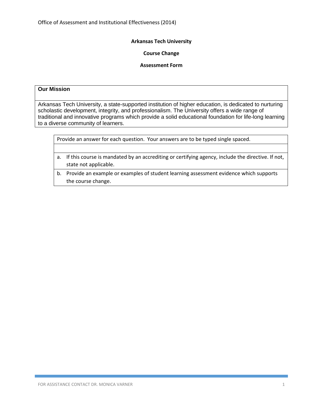### **Course Change**

### **Assessment Form**

### **Our Mission**

|  | Provide an answer for each question. Your answers are to be typed single spaced. |
|--|----------------------------------------------------------------------------------|
|--|----------------------------------------------------------------------------------|

- a. If this course is mandated by an accrediting or certifying agency, include the directive. If not, state not applicable.
- b. Provide an example or examples of student learning assessment evidence which supports the course change.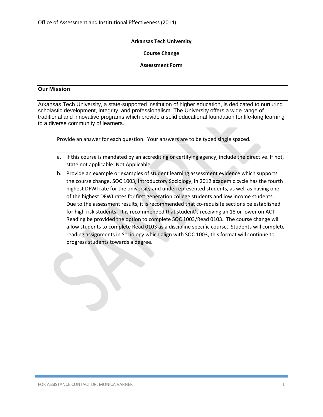### **Course Change**

### **Assessment Form**

# **Our Mission**

Arkansas Tech University, a state-supported institution of higher education, is dedicated to nurturing scholastic development, integrity, and professionalism. The University offers a wide range of traditional and innovative programs which provide a solid educational foundation for life-long learning to a diverse community of learners.

- a. If this course is mandated by an accrediting or certifying agency, include the directive. If not, state not applicable. Not Applicable
- b. Provide an example or examples of student learning assessment evidence which supports the course change. SOC 1003, Introductory Sociology, in 2012 academic cycle has the fourth highest DFWI rate for the university and underrepresented students, as well as having one of the highest DFWI rates for first generation college students and low income students. Due to the assessment results, it is recommended that co-requisite sections be established for high risk students. It is recommended that student's receiving an 18 or lower on ACT Reading be provided the option to complete SOC 1003/Read 0103. The course change will allow students to complete Read 0103 as a discipline specific course. Students will complete reading assignments in Sociology which align with SOC 1003, this format will continue to progress students towards a degree.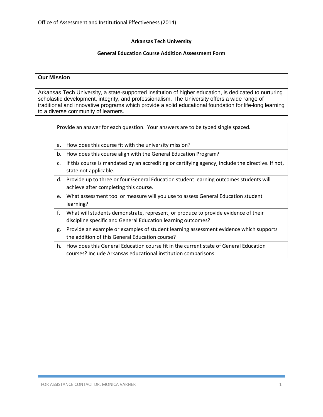### **General Education Course Addition Assessment Form**

### **Our Mission**

Arkansas Tech University, a state-supported institution of higher education, is dedicated to nurturing scholastic development, integrity, and professionalism. The University offers a wide range of traditional and innovative programs which provide a solid educational foundation for life-long learning to a diverse community of learners.

| a. How does this course fit with the university mission? |  |  |
|----------------------------------------------------------|--|--|
|                                                          |  |  |

- b. How does this course align with the General Education Program?
- c. If this course is mandated by an accrediting or certifying agency, include the directive. If not, state not applicable.
- d. Provide up to three or four General Education student learning outcomes students will achieve after completing this course.
- e. What assessment tool or measure will you use to assess General Education student learning?
- f. What will students demonstrate, represent, or produce to provide evidence of their discipline specific and General Education learning outcomes?
- g. Provide an example or examples of student learning assessment evidence which supports the addition of this General Education course?
- h. How does this General Education course fit in the current state of General Education courses? Include Arkansas educational institution comparisons.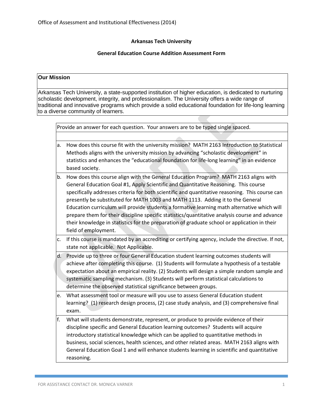# **General Education Course Addition Assessment Form**

# **Our Mission**

|    | Provide an answer for each question. Your answers are to be typed single spaced.                                                                                                                                                                                                                                                                                                                                                                                                                                                                                                                                                                                                          |
|----|-------------------------------------------------------------------------------------------------------------------------------------------------------------------------------------------------------------------------------------------------------------------------------------------------------------------------------------------------------------------------------------------------------------------------------------------------------------------------------------------------------------------------------------------------------------------------------------------------------------------------------------------------------------------------------------------|
|    |                                                                                                                                                                                                                                                                                                                                                                                                                                                                                                                                                                                                                                                                                           |
| a. | How does this course fit with the university mission? MATH 2163 Introduction to Statistical<br>Methods aligns with the university mission by advancing "scholastic development" in<br>statistics and enhances the "educational foundation for life-long learning" in an evidence<br>based society.                                                                                                                                                                                                                                                                                                                                                                                        |
| b. | How does this course align with the General Education Program? MATH 2163 aligns with<br>General Education Goal #1, Apply Scientific and Quantitative Reasoning. This course<br>specifically addresses criteria for both scientific and quantitative reasoning. This course can<br>presently be substituted for MATH 1003 and MATH 1113. Adding it to the General<br>Education curriculum will provide students a formative learning math alternative which will<br>prepare them for their discipline specific statistics/quantitative analysis course and advance<br>their knowledge in statistics for the preparation of graduate school or application in their<br>field of employment. |
| c. | If this course is mandated by an accrediting or certifying agency, include the directive. If not,<br>state not applicable. Not Applicable.                                                                                                                                                                                                                                                                                                                                                                                                                                                                                                                                                |
| d. | Provide up to three or four General Education student learning outcomes students will<br>achieve after completing this course. (1) Students will formulate a hypothesis of a testable<br>expectation about an empirical reality. (2) Students will design a simple random sample and<br>systematic sampling mechanism. (3) Students will perform statistical calculations to<br>determine the observed statistical significance between groups.                                                                                                                                                                                                                                           |
| e. | What assessment tool or measure will you use to assess General Education student<br>learning? (1) research design process, (2) case study analysis, and (3) comprehensive final<br>exam.                                                                                                                                                                                                                                                                                                                                                                                                                                                                                                  |
| f. | What will students demonstrate, represent, or produce to provide evidence of their<br>discipline specific and General Education learning outcomes? Students will acquire<br>introductory statistical knowledge which can be applied to quantitative methods in<br>business, social sciences, health sciences, and other related areas. MATH 2163 aligns with<br>General Education Goal 1 and will enhance students learning in scientific and quantitative<br>reasoning.                                                                                                                                                                                                                  |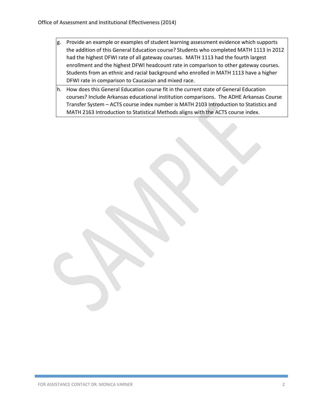- g. Provide an example or examples of student learning assessment evidence which supports the addition of this General Education course? Students who completed MATH 1113 in 2012 had the highest DFWI rate of all gateway courses. MATH 1113 had the fourth largest enrollment and the highest DFWI headcount rate in comparison to other gateway courses. Students from an ethnic and racial background who enrolled in MATH 1113 have a higher DFWI rate in comparison to Caucasian and mixed race.
- h. How does this General Education course fit in the current state of General Education courses? Include Arkansas educational institution comparisons. The ADHE Arkansas Course Transfer System – ACTS course index number is MATH 2103 Introduction to Statistics and MATH 2163 Introduction to Statistical Methods aligns with the ACTS course index.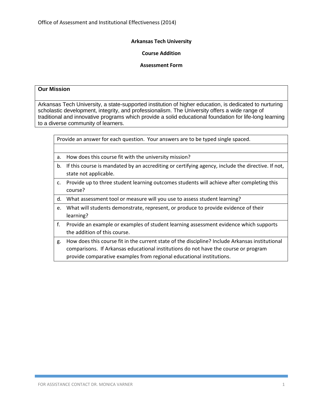### **Course Addition**

# **Assessment Form**

# **Our Mission**

|                | Provide an answer for each question. Your answers are to be typed single spaced.                                                                                                                                                                               |
|----------------|----------------------------------------------------------------------------------------------------------------------------------------------------------------------------------------------------------------------------------------------------------------|
|                |                                                                                                                                                                                                                                                                |
| а.             | How does this course fit with the university mission?                                                                                                                                                                                                          |
| b.             | If this course is mandated by an accrediting or certifying agency, include the directive. If not,<br>state not applicable.                                                                                                                                     |
| $\mathsf{C}$ . | Provide up to three student learning outcomes students will achieve after completing this<br>course?                                                                                                                                                           |
| d.             | What assessment tool or measure will you use to assess student learning?                                                                                                                                                                                       |
|                | e. What will students demonstrate, represent, or produce to provide evidence of their<br>learning?                                                                                                                                                             |
| f.             | Provide an example or examples of student learning assessment evidence which supports<br>the addition of this course.                                                                                                                                          |
| g.             | How does this course fit in the current state of the discipline? Include Arkansas institutional<br>comparisons. If Arkansas educational institutions do not have the course or program<br>provide comparative examples from regional educational institutions. |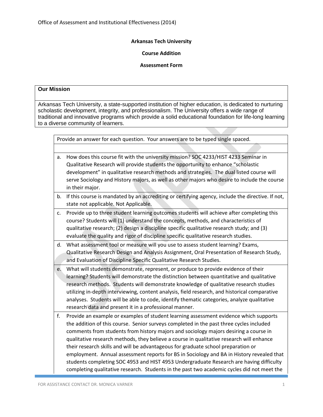### **Course Addition**

#### **Assessment Form**

#### **Our Mission**

|  | Provide an answer for each question. Your answers are to be typed single spaced. |  |  |  |
|--|----------------------------------------------------------------------------------|--|--|--|
|--|----------------------------------------------------------------------------------|--|--|--|

- a. How does this course fit with the university mission? SOC 4233/HIST 4233 Seminar in Qualitative Research will provide students the opportunity to enhance "scholastic development" in qualitative research methods and strategies. The dual listed course will serve Sociology and History majors, as well as other majors who desire to include the course in their major.
- b. If this course is mandated by an accrediting or certifying agency, include the directive. If not, state not applicable. Not Applicable.
- c. Provide up to three student learning outcomes students will achieve after completing this course? Students will (1) understand the concepts, methods, and characteristics of qualitative research; (2) design a discipline specific qualitative research study; and (3) evaluate the quality and rigor of discipline specific qualitative research studies.
- d. What assessment tool or measure will you use to assess student learning? Exams, Qualitative Research Design and Analysis Assignment, Oral Presentation of Research Study, and Evaluation of Discipline Specific Qualitative Research Studies.
- e. What will students demonstrate, represent, or produce to provide evidence of their learning? Students will demonstrate the distinction between quantitative and qualitative research methods. Students will demonstrate knowledge of qualitative research studies utilizing in-depth interviewing, content analysis, field research, and historical comparative analyses. Students will be able to code, identify thematic categories, analyze qualitative research data and present it in a professional manner.
- f. Provide an example or examples of student learning assessment evidence which supports the addition of this course. Senior surveys completed in the past three cycles included comments from students from history majors and sociology majors desiring a course in qualitative research methods, they believe a course in qualitative research will enhance their research skills and will be advantageous for graduate school preparation or employment. Annual assessment reports for BS in Sociology and BA in History revealed that students completing SOC 4953 and HIST 4953 Undergraduate Research are having difficulty completing qualitative research. Students in the past two academic cycles did not meet the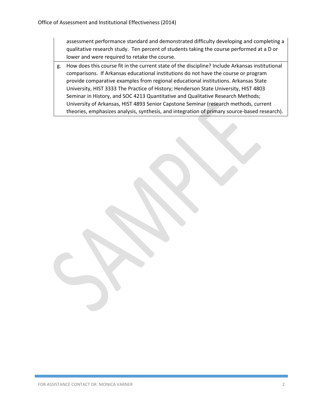assessment performance standard and demonstrated difficulty developing and completing a qualitative research study. Ten percent of students taking the course performed at a D or lower and were required to retake the course.

g. How does this course fit in the current state of the discipline? Include Arkansas institutional comparisons. If Arkansas educational institutions do not have the course or program provide comparative examples from regional educational institutions. Arkansas State University, HIST 3333 The Practice of History; Henderson State University, HIST 4803 Seminar in History, and SOC 4213 Quantitative and Qualitative Research Methods; University of Arkansas, HIST 4893 Senior Capstone Seminar (research methods, current theories, emphasizes analysis, synthesis, and integration of primary source-based research).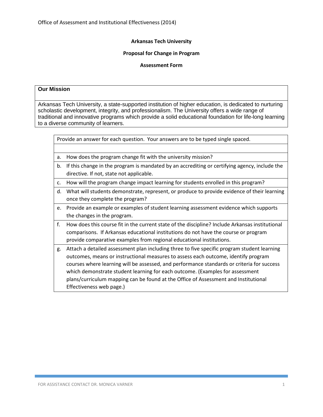### **Proposal for Change in Program**

#### **Assessment Form**

# **Our Mission**

|    | Provide an answer for each question. Your answers are to be typed single spaced.                |
|----|-------------------------------------------------------------------------------------------------|
|    |                                                                                                 |
| a. | How does the program change fit with the university mission?                                    |
| b. | If this change in the program is mandated by an accrediting or certifying agency, include the   |
|    | directive. If not, state not applicable.                                                        |
| C. | How will the program change impact learning for students enrolled in this program?              |
| d. | What will students demonstrate, represent, or produce to provide evidence of their learning     |
|    | once they complete the program?                                                                 |
| e. | Provide an example or examples of student learning assessment evidence which supports           |
|    | the changes in the program.                                                                     |
| f. | How does this course fit in the current state of the discipline? Include Arkansas institutional |
|    | comparisons. If Arkansas educational institutions do not have the course or program             |
|    | provide comparative examples from regional educational institutions.                            |
| g. | Attach a detailed assessment plan including three to five specific program student learning     |
|    | outcomes, means or instructional measures to assess each outcome, identify program              |
|    | courses where learning will be assessed, and performance standards or criteria for success      |
|    | which demonstrate student learning for each outcome. (Examples for assessment                   |
|    | plans/curriculum mapping can be found at the Office of Assessment and Institutional             |
|    | Effectiveness web page.)                                                                        |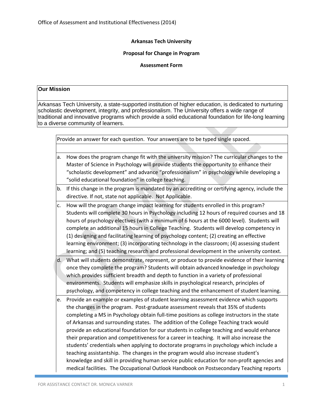### **Proposal for Change in Program**

### **Assessment Form**

# **Our Mission**

|  | Provide an answer for each question. Your answers are to be typed single spaced. |  |
|--|----------------------------------------------------------------------------------|--|
|  |                                                                                  |  |

- a. How does the program change fit with the university mission? The curricular changes to the Master of Science in Psychology will provide students the opportunity to enhance their "scholastic development" and advance "professionalism" in psychology while developing a "solid educational foundation" in college teaching.
- b. If this change in the program is mandated by an accrediting or certifying agency, include the directive. If not, state not applicable. Not Applicable.
- c. How will the program change impact learning for students enrolled in this program? Students will complete 30 hours in Psychology including 12 hours of required courses and 18 hours of psychology electives (with a minimum of 6 hours at the 6000 level). Students will complete an additional 15 hours in College Teaching. Students will develop competency in (1) designing and facilitating learning of psychology content; (2) creating an effective learning environment; (3) incorporating technology in the classroom; (4) assessing student learning; and (5) teaching research and professional development in the university context.
- d. What will students demonstrate, represent, or produce to provide evidence of their learning once they complete the program? Students will obtain advanced knowledge in psychology which provides sufficient breadth and depth to function in a variety of professional environments. Students will emphasize skills in psychological research, principles of psychology, and competency in college teaching and the enhancement of student learning.
- e. Provide an example or examples of student learning assessment evidence which supports the changes in the program. Post-graduate assessment reveals that 35% of students completing a MS in Psychology obtain full-time positions as college instructors in the state of Arkansas and surrounding states. The addition of the College Teaching track would provide an educational foundation for our students in college teaching and would enhance their preparation and competitiveness for a career in teaching. It will also increase the students' credentials when applying to doctorate programs in psychology which include a teaching assistantship. The changes in the program would also increase student's knowledge and skill in providing human service public education for non-profit agencies and medical facilities. The Occupational Outlook Handbook on Postsecondary Teaching reports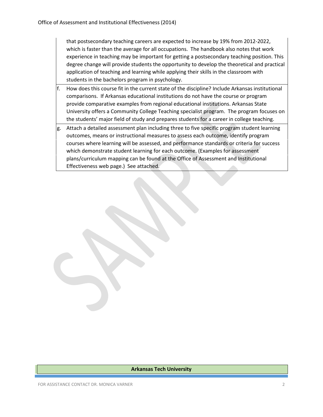that postsecondary teaching careers are expected to increase by 19% from 2012-2022, which is faster than the average for all occupations. The handbook also notes that work experience in teaching may be important for getting a postsecondary teaching position. This degree change will provide students the opportunity to develop the theoretical and practical application of teaching and learning while applying their skills in the classroom with students in the bachelors program in psychology.

- f. How does this course fit in the current state of the discipline? Include Arkansas institutional comparisons. If Arkansas educational institutions do not have the course or program provide comparative examples from regional educational institutions. Arkansas State University offers a Community College Teaching specialist program. The program focuses on the students' major field of study and prepares students for a career in college teaching.
- g. Attach a detailed assessment plan including three to five specific program student learning outcomes, means or instructional measures to assess each outcome, identify program courses where learning will be assessed, and performance standards or criteria for success which demonstrate student learning for each outcome. (Examples for assessment plans/curriculum mapping can be found at the Office of Assessment and Institutional Effectiveness web page.) See attached.

#### **Arkansas Tech University**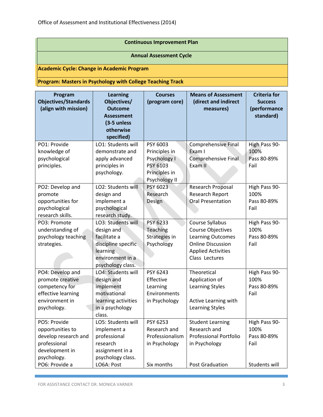# **Continuous Improvement Plan**

# **Annual Assessment Cycle**

**Academic Cycle: Change in Academic Program**

**Program: Masters in Psychology with College Teaching Track**

| Program<br><b>Objectives/Standards</b><br>(align with mission) | <b>Learning</b><br>Objectives/<br><b>Outcome</b><br><b>Assessment</b> | <b>Courses</b><br>(program core) | <b>Means of Assessment</b><br>(direct and indirect<br>measures) | <b>Criteria for</b><br><b>Success</b><br>(performance<br>standard) |
|----------------------------------------------------------------|-----------------------------------------------------------------------|----------------------------------|-----------------------------------------------------------------|--------------------------------------------------------------------|
|                                                                | (3-5 unless                                                           |                                  |                                                                 |                                                                    |
|                                                                | otherwise                                                             |                                  |                                                                 |                                                                    |
|                                                                | specified)                                                            |                                  |                                                                 |                                                                    |
| PO1: Provide                                                   | LO1: Students will                                                    | PSY 6003                         | Comprehensive Final                                             | High Pass 90-                                                      |
| knowledge of                                                   | demonstrate and                                                       | Principles in                    | Exam I                                                          | 100%                                                               |
| psychological                                                  | apply advanced                                                        | Psychology I                     | Comprehensive Final                                             | Pass 80-89%                                                        |
| principles.                                                    | principles in                                                         | PSY 6103                         | Exam II                                                         | Fail                                                               |
|                                                                | psychology.                                                           | Principles in                    |                                                                 |                                                                    |
|                                                                |                                                                       | Psychology II                    |                                                                 |                                                                    |
| PO2: Develop and                                               | LO2: Students will                                                    | PSY 6023                         | <b>Research Proposal</b>                                        | High Pass 90-                                                      |
| promote                                                        | design and                                                            | Research                         | <b>Research Report</b>                                          | 100%                                                               |
| opportunities for                                              | implement a                                                           | Design                           | <b>Oral Presentation</b>                                        | Pass 80-89%                                                        |
| psychological                                                  | psychological                                                         |                                  |                                                                 | Fail                                                               |
| research skills.                                               | research study.                                                       |                                  |                                                                 |                                                                    |
| PO3: Promote                                                   | LO3: Students will                                                    | PSY 6233                         | Course Syllabus                                                 | High Pass 90-                                                      |
| understanding of                                               | design and                                                            | Teaching                         | <b>Course Objectives</b>                                        | 100%                                                               |
| psychology teaching                                            | facilitate a                                                          | Strategies in                    | <b>Learning Outcomes</b>                                        | Pass 80-89%                                                        |
| strategies.                                                    | discipline specific                                                   | Psychology                       | <b>Online Discussion</b>                                        | Fail                                                               |
|                                                                | learning                                                              |                                  | <b>Applied Activities</b>                                       |                                                                    |
|                                                                | environment in a                                                      |                                  | Class Lectures                                                  |                                                                    |
|                                                                | psychology class.                                                     |                                  |                                                                 |                                                                    |
| PO4: Develop and                                               | LO4: Students will                                                    | PSY 6243                         | Theoretical                                                     | High Pass 90-                                                      |
| promote creative                                               | design and                                                            | Effective                        | Application of                                                  | 100%                                                               |
| competency for                                                 | implement                                                             | Learning                         | <b>Learning Styles</b>                                          | Pass 80-89%                                                        |
| effective learning                                             | motivational                                                          | Environments                     |                                                                 | Fail                                                               |
| environment in                                                 | learning activities                                                   | in Psychology                    | Active Learning with                                            |                                                                    |
| psychology.                                                    | in a psychology                                                       |                                  | <b>Learning Styles</b>                                          |                                                                    |
| PO5: Provide                                                   | class.<br>LO5: Students will                                          | PSY 6253                         |                                                                 |                                                                    |
|                                                                |                                                                       |                                  | <b>Student Learning</b>                                         | High Pass 90-                                                      |
| opportunities to                                               | implement a                                                           | Research and                     | Research and<br><b>Professional Portfolio</b>                   | 100%                                                               |
| develop research and                                           | professional                                                          | Professionalism                  |                                                                 | Pass 80-89%                                                        |
| professional                                                   | research                                                              | in Psychology                    | in Psychology                                                   | Fail                                                               |
| development in                                                 | assignment in a                                                       |                                  |                                                                 |                                                                    |
| psychology.                                                    | psychology class.                                                     |                                  |                                                                 |                                                                    |
| PO6: Provide a                                                 | LO6A: Post                                                            | Six months                       | Post Graduation                                                 | Students will                                                      |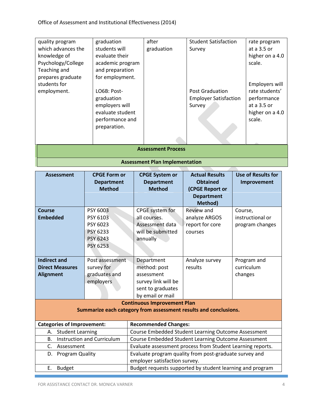|                    |                  | <b>Assessment Plan Implementation</b> |                              |                 |
|--------------------|------------------|---------------------------------------|------------------------------|-----------------|
|                    |                  | <b>Assessment Process</b>             |                              |                 |
|                    |                  |                                       |                              |                 |
|                    | preparation.     |                                       |                              |                 |
|                    | performance and  |                                       |                              | scale.          |
|                    | evaluate student |                                       |                              | higher on a 4.0 |
|                    | employers will   |                                       | Survey                       | at a 3.5 or     |
|                    | graduation       |                                       | <b>Employer Satisfaction</b> | performance     |
| employment.        | LO6B: Post-      |                                       | <b>Post Graduation</b>       | rate students'  |
| students for       |                  |                                       |                              | Employers will  |
| prepares graduate  | for employment.  |                                       |                              |                 |
| Teaching and       | and preparation  |                                       |                              |                 |
| Psychology/College | academic program |                                       |                              | scale.          |
| knowledge of       | evaluate their   |                                       |                              | higher on a 4.0 |
| which advances the | students will    | graduation                            | Survey                       | at a 3.5 or     |
| quality program    | graduation       | after                                 | <b>Student Satisfaction</b>  | rate program    |

| <b>Assessment</b>                                                                                                                | <b>CPGE Form or</b><br><b>Department</b><br><b>Method</b> | <b>CPGE System or</b><br><b>Department</b><br><b>Method</b>                                              | <b>Use of Results for</b><br>Improvement                  |                                                |
|----------------------------------------------------------------------------------------------------------------------------------|-----------------------------------------------------------|----------------------------------------------------------------------------------------------------------|-----------------------------------------------------------|------------------------------------------------|
| PSY 6003<br><b>Course</b><br><b>Embedded</b><br>PSY 6103<br>PSY 6023<br>PSY 6233<br>PSY 6243<br><b>PSY 6253</b>                  |                                                           | CPGE system for<br>all courses.<br>Assessment data<br>will be submitted<br>annually                      | Review and<br>analyze ARGOS<br>report for core<br>courses | Course,<br>instructional or<br>program changes |
| <b>Indirect and</b><br>Post assessment<br><b>Direct Measures</b><br>survey for<br><b>Alignment</b><br>graduates and<br>employers |                                                           | Department<br>method: post<br>assessment<br>survey link will be<br>sent to graduates<br>by email or mail | Analyze survey<br>results                                 | Program and<br>curriculum<br>changes           |
|                                                                                                                                  |                                                           | <b>Continuous Improvement Plan</b><br>Summarize each category from assessment results and conclusions.   |                                                           |                                                |
| <b>Categories of Improvement:</b>                                                                                                |                                                           | <b>Recommended Changes:</b>                                                                              |                                                           |                                                |
| <b>Student Learning</b><br>А.                                                                                                    |                                                           | Course Embedded Student Learning Outcome Assessment                                                      |                                                           |                                                |
| <b>B.</b>                                                                                                                        | <b>Instruction and Curriculum</b>                         | Course Embedded Student Learning Outcome Assessment                                                      |                                                           |                                                |
| C.<br>Assessment                                                                                                                 |                                                           | Evaluate assessment process from Student Learning reports.                                               |                                                           |                                                |
| D.<br>Program Quality                                                                                                            |                                                           | Evaluate program quality from post-graduate survey and<br>employer satisfaction survey.                  |                                                           |                                                |
| Ε.<br><b>Budget</b>                                                                                                              |                                                           | Budget requests supported by student learning and program                                                |                                                           |                                                |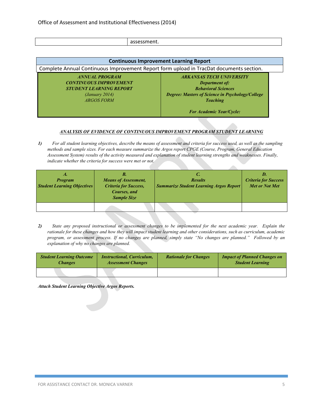|--|--|--|

| Complete Annual Continuous Improvement Report form upload in TracDat documents section.                                                                              |
|----------------------------------------------------------------------------------------------------------------------------------------------------------------------|
| <b>ARKANSAS TECH UNIVERSITY</b><br><b>Department of:</b><br><b>Behavioral Sciences</b><br><b>Degree: Masters of Science in Psychology/College</b><br><b>Teaching</b> |
| <b>For Academic Year/Cycle:</b>                                                                                                                                      |
|                                                                                                                                                                      |

#### *ANALYSIS OF EVIDENCE OF CONTINUOUS IMPROVEMENT PROGRAM STUDENT LEARNING*

*1) For all student learning objectives, describe the means of assessment and criteria for success used, as well as the sampling methods and sample sizes. For each measure summarize the Argos report CPGE (Course, Program, General Education Assessment System) results of the activity measured and explanation of student learning strengths and weaknesses. Finally, indicate whether the criteria for success were met or not.* 

| A.<br><b>Program</b><br><b>Student Learning Objectives</b> | Б.<br><b>Means of Assessment,</b><br><b>Criteria for Success,</b><br>Courses, and<br><b>Sample Size</b> | C.<br><b>Results</b><br><b>Summarize Student Learning Argos Report</b> | D.<br><b>Criteria for Success</b><br><b>Met or Not Met</b> |
|------------------------------------------------------------|---------------------------------------------------------------------------------------------------------|------------------------------------------------------------------------|------------------------------------------------------------|
|                                                            |                                                                                                         |                                                                        |                                                            |

*2) State any proposed instructional or assessment changes to be implemented for the next academic year. Explain the rationale for these changes and how they will impact student learning and other considerations, such as curriculum, academic program, or assessment process. If no changes are planned, simply state "No changes are planned." Followed by an explanation of why no changes are planned.*

| <b>Student Learning Outcome</b><br><b>Instructional, Curriculum,</b><br><b>Assessment Changes</b><br>Changes |  | <b>Rationale for Changes</b> | <b>Impact of Planned Changes on</b><br><b>Student Learning</b> |
|--------------------------------------------------------------------------------------------------------------|--|------------------------------|----------------------------------------------------------------|
|                                                                                                              |  |                              |                                                                |

*Attach Student Learning Objective Argos Reports.*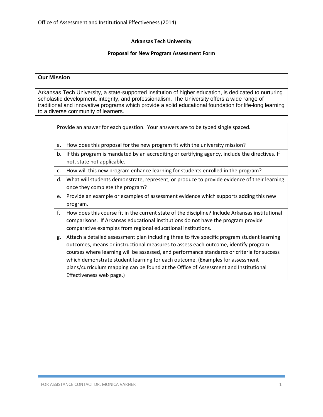#### **Proposal for New Program Assessment Form**

#### **Our Mission**

Arkansas Tech University, a state-supported institution of higher education, is dedicated to nurturing scholastic development, integrity, and professionalism. The University offers a wide range of traditional and innovative programs which provide a solid educational foundation for life-long learning to a diverse community of learners.

- a. How does this proposal for the new program fit with the university mission?
- b. If this program is mandated by an accrediting or certifying agency, include the directives. If not, state not applicable.
- c. How will this new program enhance learning for students enrolled in the program?
- d. What will students demonstrate, represent, or produce to provide evidence of their learning once they complete the program?
- e. Provide an example or examples of assessment evidence which supports adding this new program.
- f. How does this course fit in the current state of the discipline? Include Arkansas institutional comparisons. If Arkansas educational institutions do not have the program provide comparative examples from regional educational institutions.
- g. Attach a detailed assessment plan including three to five specific program student learning outcomes, means or instructional measures to assess each outcome, identify program courses where learning will be assessed, and performance standards or criteria for success which demonstrate student learning for each outcome. (Examples for assessment plans/curriculum mapping can be found at the Office of Assessment and Institutional Effectiveness web page.)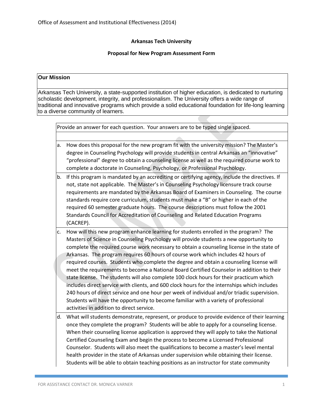### **Proposal for New Program Assessment Form**

# **Our Mission**

Arkansas Tech University, a state-supported institution of higher education, is dedicated to nurturing scholastic development, integrity, and professionalism. The University offers a wide range of traditional and innovative programs which provide a solid educational foundation for life-long learning to a diverse community of learners.

|    | Provide an answer for each question. Your answers are to be typed single spaced.                                                                                                                                                                                                                                                                                                                                                                                                                                                                                                                                                                                                                                                                                                                                                                                                                                                                                                          |  |  |
|----|-------------------------------------------------------------------------------------------------------------------------------------------------------------------------------------------------------------------------------------------------------------------------------------------------------------------------------------------------------------------------------------------------------------------------------------------------------------------------------------------------------------------------------------------------------------------------------------------------------------------------------------------------------------------------------------------------------------------------------------------------------------------------------------------------------------------------------------------------------------------------------------------------------------------------------------------------------------------------------------------|--|--|
|    |                                                                                                                                                                                                                                                                                                                                                                                                                                                                                                                                                                                                                                                                                                                                                                                                                                                                                                                                                                                           |  |  |
| a. | How does this proposal for the new program fit with the university mission? The Master's<br>degree in Counseling Psychology will provide students in central Arkansas an "innovative"<br>"professional" degree to obtain a counseling license as well as the required course work to<br>complete a doctorate in Counseling, Psychology, or Professional Psychology.                                                                                                                                                                                                                                                                                                                                                                                                                                                                                                                                                                                                                       |  |  |
| b. | If this program is mandated by an accrediting or certifying agency, include the directives. If<br>not, state not applicable. The Master's in Counseling Psychology licensure track course<br>requirements are mandated by the Arkansas Board of Examiners in Counseling. The course<br>standards require core curriculum, students must make a "B" or higher in each of the<br>required 60 semester graduate hours. The course descriptions must follow the 2001<br>Standards Council for Accreditation of Counseling and Related Education Programs<br>(CACREP).                                                                                                                                                                                                                                                                                                                                                                                                                         |  |  |
| c. | How will this new program enhance learning for students enrolled in the program? The<br>Masters of Science in Counseling Psychology will provide students a new opportunity to<br>complete the required course work necessary to obtain a counseling license in the state of<br>Arkansas. The program requires 60 hours of course work which includes 42 hours of<br>required courses. Students who complete the degree and obtain a counseling license will<br>meet the requirements to become a National Board Certified Counselor in addition to their<br>state license. The students will also complete 100 clock hours for their practicum which<br>includes direct service with clients, and 600 clock hours for the internships which includes<br>240 hours of direct service and one hour per week of individual and/or triadic supervision.<br>Students will have the opportunity to become familiar with a variety of professional<br>activities in addition to direct service. |  |  |
| d. | What will students demonstrate, represent, or produce to provide evidence of their learning<br>once they complete the program? Students will be able to apply for a counseling license.<br>When their counseling license application is approved they will apply to take the National<br>Certified Counseling Exam and begin the process to become a Licensed Professional                                                                                                                                                                                                                                                                                                                                                                                                                                                                                                                                                                                                                |  |  |

Counselor. Students will also meet the qualifications to become a master's level mental health provider in the state of Arkansas under supervision while obtaining their license. Students will be able to obtain teaching positions as an instructor for state community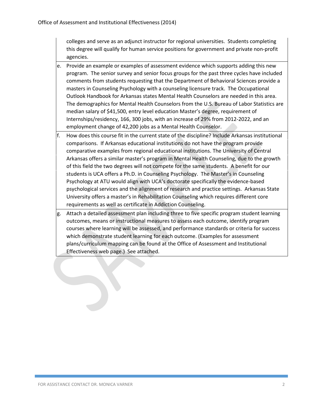colleges and serve as an adjunct instructor for regional universities. Students completing this degree will qualify for human service positions for government and private non-profit agencies.

- e. Provide an example or examples of assessment evidence which supports adding this new program. The senior survey and senior focus groups for the past three cycles have included comments from students requesting that the Department of Behavioral Sciences provide a masters in Counseling Psychology with a counseling licensure track. The Occupational Outlook Handbook for Arkansas states Mental Health Counselors are needed in this area. The demographics for Mental Health Counselors from the U.S. Bureau of Labor Statistics are median salary of \$41,500, entry level education Master's degree, requirement of Internships/residency, 166, 300 jobs, with an increase of 29% from 2012-2022, and an employment change of 42,200 jobs as a Mental Health Counselor.
- f. How does this course fit in the current state of the discipline? Include Arkansas institutional comparisons. If Arkansas educational institutions do not have the program provide comparative examples from regional educational institutions. The University of Central Arkansas offers a similar master's program in Mental Health Counseling, due to the growth of this field the two degrees will not compete for the same students. A benefit for our students is UCA offers a Ph.D. in Counseling Psychology. The Master's in Counseling Psychology at ATU would align with UCA's doctorate specifically the evidence-based psychological services and the alignment of research and practice settings. Arkansas State University offers a master's in Rehabilitation Counseling which requires different core requirements as well as certificate in Addiction Counseling.
- g. Attach a detailed assessment plan including three to five specific program student learning outcomes, means or instructional measures to assess each outcome, identify program courses where learning will be assessed, and performance standards or criteria for success which demonstrate student learning for each outcome. (Examples for assessment plans/curriculum mapping can be found at the Office of Assessment and Institutional Effectiveness web page.) See attached.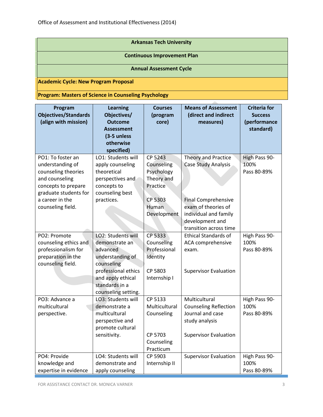| <b>Arkansas Tech University</b>                             |  |  |
|-------------------------------------------------------------|--|--|
| <b>Continuous Improvement Plan</b>                          |  |  |
| <b>Annual Assessment Cycle</b>                              |  |  |
| Academic Cycle: New Program Proposal                        |  |  |
| <b>Program: Masters of Science in Counseling Psychology</b> |  |  |

| Program<br><b>Objectives/Standards</b><br>(align with mission)                                                                                                         | <b>Learning</b><br>Objectives/<br><b>Outcome</b><br><b>Assessment</b><br>(3-5 unless<br>otherwise<br>specified)                                                         | <b>Courses</b><br>(program<br>core)                                                              | <b>Means of Assessment</b><br>(direct and indirect<br>measures)                                                                                                       | <b>Criteria for</b><br><b>Success</b><br>(performance<br>standard) |  |
|------------------------------------------------------------------------------------------------------------------------------------------------------------------------|-------------------------------------------------------------------------------------------------------------------------------------------------------------------------|--------------------------------------------------------------------------------------------------|-----------------------------------------------------------------------------------------------------------------------------------------------------------------------|--------------------------------------------------------------------|--|
| PO1: To foster an<br>understanding of<br>counseling theories<br>and counseling<br>concepts to prepare<br>graduate students for<br>a career in the<br>counseling field. | LO1: Students will<br>apply counseling<br>theoretical<br>perspectives and<br>concepts to<br>counseling best<br>practices.                                               | CP 5243<br>Counseling<br>Psychology<br>Theory and<br>Practice<br>CP 5303<br>Human<br>Development | Theory and Practice<br>Case Study Analysis<br><b>Final Comprehensive</b><br>exam of theories of<br>individual and family<br>development and<br>transition across time | High Pass 90-<br>100%<br>Pass 80-89%                               |  |
| PO2: Promote<br>counseling ethics and<br>professionalism for<br>preparation in the<br>counseling field.                                                                | LO2: Students will<br>demonstrate an<br>advanced<br>understanding of<br>counseling<br>professional ethics<br>and apply ethical<br>standards in a<br>counseling setting. | CP 5333<br>Counseling<br>Professional<br>Identity<br>CP 5803<br>Internship I                     | <b>Ethical Standards of</b><br>ACA comprehensive<br>exam.<br><b>Supervisor Evaluation</b>                                                                             | High Pass 90-<br>100%<br>Pass 80-89%                               |  |
| PO3: Advance a<br>multicultural<br>perspective.<br>PO4: Provide                                                                                                        | LO3: Students will<br>demonstrate a<br>multicultural<br>perspective and<br>promote cultural<br>sensitivity.<br>LO4: Students will                                       | CP 5133<br>Multicultural<br>Counseling<br>CP 5703<br>Counseling<br>Practicum<br>CP 5903          | Multicultural<br><b>Counseling Reflection</b><br>Journal and case<br>study analysis<br><b>Supervisor Evaluation</b><br><b>Supervisor Evaluation</b>                   | High Pass 90-<br>100%<br>Pass 80-89%<br>High Pass 90-              |  |
| knowledge and<br>expertise in evidence                                                                                                                                 | demonstrate and<br>apply counseling                                                                                                                                     | Internship II                                                                                    |                                                                                                                                                                       | 100%<br>Pass 80-89%                                                |  |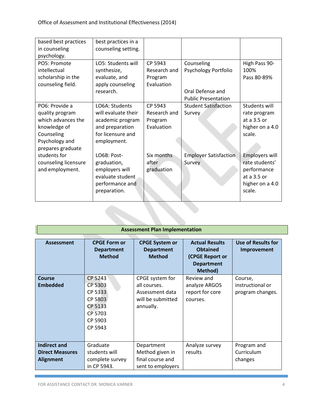| based best practices      | best practices in a |              |                              |                       |
|---------------------------|---------------------|--------------|------------------------------|-----------------------|
| in counseling             | counseling setting. |              |                              |                       |
| psychology.               |                     |              |                              |                       |
| PO <sub>5</sub> : Promote | LO5: Students will  | CP 5943      | Counseling                   | High Pass 90-         |
| intellectual              | synthesize,         | Research and | Psychology Portfolio         | 100%                  |
| scholarship in the        | evaluate, and       | Program      |                              | Pass 80-89%           |
| counseling field.         | apply counseling    | Evaluation   |                              |                       |
|                           | research.           |              | Oral Defense and             |                       |
|                           |                     |              | <b>Public Presentation</b>   |                       |
| PO6: Provide a            | LO6A: Students      | CP 5943      | <b>Student Satisfaction</b>  | Students will         |
| quality program           | will evaluate their | Research and | Survey                       | rate program          |
| which advances the        | academic program    | Program      |                              | at a $3.5$ or         |
| knowledge of              | and preparation     | Evaluation   |                              | higher on a 4.0       |
| Counseling                | for licensure and   |              |                              | scale.                |
| Psychology and            | employment.         |              |                              |                       |
| prepares graduate         |                     |              |                              |                       |
| students for              | LO6B: Post-         | Six months   | <b>Employer Satisfaction</b> | <b>Employers will</b> |
| counseling licensure      | graduation,         | after        | Survey                       | rate students'        |
| and employment.           | employers will      | graduation   |                              | performance           |
|                           | evaluate student    |              |                              | at a 3.5 or           |
|                           | performance and     |              |                              | higher on a 4.0       |
|                           | preparation.        |              |                              | scale.                |
|                           |                     |              |                              |                       |

| <b>Assessment Plan Implementation</b>                             |                                                                                      |                                                                                      |                                                                                             |                                                 |  |
|-------------------------------------------------------------------|--------------------------------------------------------------------------------------|--------------------------------------------------------------------------------------|---------------------------------------------------------------------------------------------|-------------------------------------------------|--|
| <b>Assessment</b>                                                 | <b>CPGE Form or</b><br><b>Department</b><br><b>Method</b>                            | <b>CPGE System or</b><br><b>Department</b><br><b>Method</b>                          | <b>Actual Results</b><br><b>Obtained</b><br>(CPGE Report or<br><b>Department</b><br>Method) | <b>Use of Results for</b><br>Improvement        |  |
| <b>Course</b><br><b>Embedded</b>                                  | CP 5243<br>CP 5303<br>CP 5333<br>CP 5803<br>CP 5133<br>CP 5703<br>CP 5903<br>CP 5943 | CPGE system for<br>all courses.<br>Assessment data<br>will be submitted<br>annually. | Review and<br>analyze ARGOS<br>report for core<br>courses.                                  | Course,<br>instructional or<br>program changes. |  |
| <b>Indirect and</b><br><b>Direct Measures</b><br><b>Alignment</b> | Graduate<br>students will<br>complete survey<br>in CP 5943.                          | Department<br>Method given in<br>final course and<br>sent to employers               | Analyze survey<br>results                                                                   | Program and<br>Curriculum<br>changes            |  |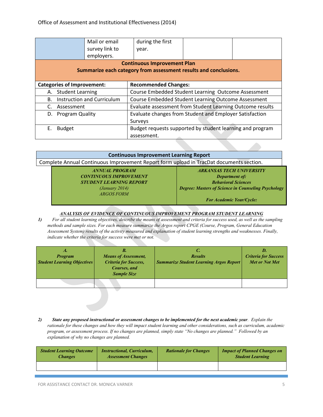|                                                                               | Mail or email                                                                            | during the first                                                 |  |  |
|-------------------------------------------------------------------------------|------------------------------------------------------------------------------------------|------------------------------------------------------------------|--|--|
|                                                                               | survey link to                                                                           | year.                                                            |  |  |
|                                                                               | employers.                                                                               |                                                                  |  |  |
|                                                                               |                                                                                          | <b>Continuous Improvement Plan</b>                               |  |  |
|                                                                               |                                                                                          | Summarize each category from assessment results and conclusions. |  |  |
|                                                                               |                                                                                          |                                                                  |  |  |
| <b>Categories of Improvement:</b>                                             |                                                                                          | <b>Recommended Changes:</b>                                      |  |  |
| <b>Student Learning</b><br>А.                                                 |                                                                                          | Course Embedded Student Learning Outcome Assessment              |  |  |
| В.                                                                            | <b>Instruction and Curriculum</b><br>Course Embedded Student Learning Outcome Assessment |                                                                  |  |  |
| C.                                                                            | Evaluate assessment from Student Learning Outcome results<br>Assessment                  |                                                                  |  |  |
| Evaluate changes from Student and Employer Satisfaction<br>D. Program Quality |                                                                                          |                                                                  |  |  |
|                                                                               |                                                                                          | Surveys                                                          |  |  |
| Ε.<br><b>Budget</b>                                                           |                                                                                          | Budget requests supported by student learning and program        |  |  |
|                                                                               |                                                                                          | assessment.                                                      |  |  |

| <b>Continuous Improvement Learning Report</b>                                           |                                                            |  |  |  |
|-----------------------------------------------------------------------------------------|------------------------------------------------------------|--|--|--|
| Complete Annual Continuous Improvement Report form upload in TracDat documents section. |                                                            |  |  |  |
| <b>ANNUAL PROGRAM</b>                                                                   | <b>ARKANSAS TECH UNIVERSITY</b>                            |  |  |  |
| <b>CONTINUOUS IMPROVEMENT</b>                                                           | <b>Department of:</b>                                      |  |  |  |
| <b>STUDENT LEARNING REPORT</b>                                                          | <b>Behavioral Sciences</b>                                 |  |  |  |
| (January 2014)                                                                          | <b>Degree: Masters of Science in Counseling Psychology</b> |  |  |  |
| <b>ARGOS FORM</b>                                                                       |                                                            |  |  |  |
|                                                                                         | <b>For Academic Year/Cycle:</b>                            |  |  |  |

#### *ANALYSIS OF EVIDENCE OF CONTINUOUS IMPROVEMENT PROGRAM STUDENT LEARNING*

*1) For all student learning objectives, describe the means of assessment and criteria for success used, as well as the sampling methods and sample sizes. For each measure summarize the Argos report CPGE (Course, Program, General Education Assessment System) results of the activity measured and explanation of student learning strengths and weaknesses. Finally, indicate whether the criteria for success were met or not.* 

| А.<br><b>Program</b><br><b>Student Learning Objectives</b> | В.<br><b>Means of Assessment,</b><br><b>Criteria for Success,</b><br>Courses, and<br><b>Sample Size</b> | <b>Results</b><br><b>Summarize Student Learning Argos Report</b> | D.<br><b>Criteria for Success</b><br><b>Met or Not Met</b> |
|------------------------------------------------------------|---------------------------------------------------------------------------------------------------------|------------------------------------------------------------------|------------------------------------------------------------|
|                                                            |                                                                                                         |                                                                  |                                                            |

*2) State any proposed instructional or assessment changes to be implemented for the next academic year. Explain the rationale for these changes and how they will impact student learning and other considerations, such as curriculum, academic program, or assessment process. If no changes are planned, simply state "No changes are planned." Followed by an explanation of why no changes are planned.*

| <b>Student Learning Outcome</b> | <b>Instructional, Curriculum,</b> | <b>Rationale for Changes</b> | <b>Impact of Planned Changes on</b> |
|---------------------------------|-----------------------------------|------------------------------|-------------------------------------|
| <i><b>Changes</b></i>           | <b>Assessment Changes</b>         |                              | <b>Student Learning</b>             |
|                                 |                                   |                              |                                     |